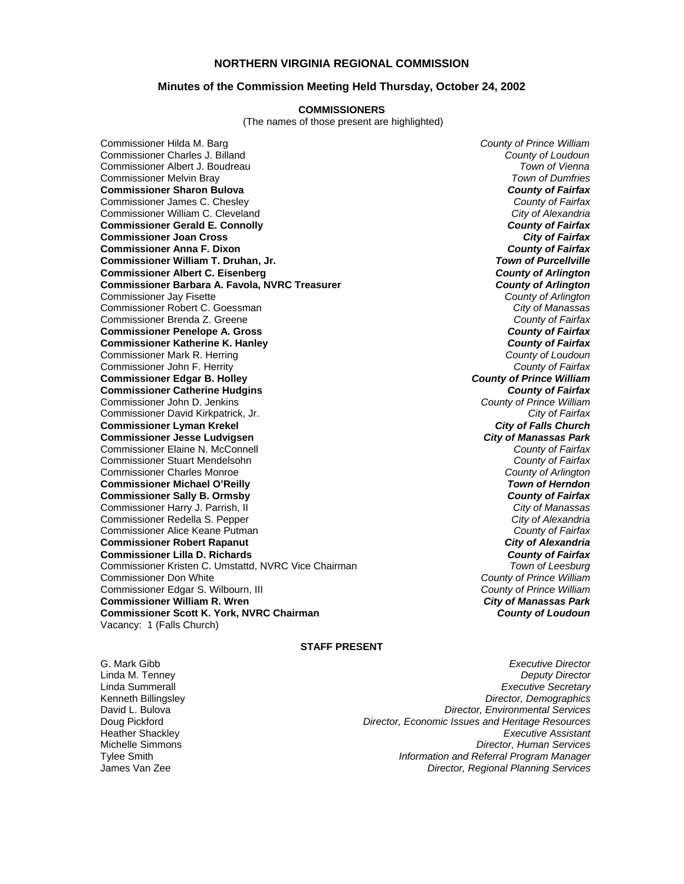## **NORTHERN VIRGINIA REGIONAL COMMISSION**

## **Minutes of the Commission Meeting Held Thursday, October 24, 2002**

#### **COMMISSIONERS**

(The names of those present are highlighted)

Commissioner Hilda M. Barg *County of Prince William* Commissioner Charles J. Billand *County of Loudoun* Commissioner Albert J. Boudreau *Town of Vienna* Commissioner Melvin Bray *Town of Dumfries* **Commissioner Sharon Bulova** *County of Fairfax* Commissioner James C. Chesley *County of Fairfax* Commissioner William C. Cleveland *City of Alexandria* **Commissioner Gerald E. Connolly Commissioner Joan Cross** *City of Fairfax* **Commissioner Anna F. Dixon** *County of Fairfax* **Commissioner William T. Druhan, Jr.** *Town of Purcellville* **Commissioner Albert C. Eisenberg** *County of Arlington* **Commissioner Barbara A. Favola, NVRC Treasurer** *County of Arlington* Commissioner Jay Fisette *County of Arlington* Commissioner Robert C. Goessman *City of Manassas* Commissioner Brenda Z. Greene **County of Fairfax**<br> **County of Fairfax**<br> **County of Fairfax**<br>
County of Fairfax **Commissioner Penelope A. Gross** *County of Fairfax* **Commissioner Katherine K. Hanley** Commissioner Mark R. Herring *County of Loudoun* Commissioner John F. Herrity *County of Fairfax* **Commissioner Edgar B. Holley** *County of Prince William* **Commissioner Catherine Hudgins** *County of Fairfax* Commissioner John D. Jenkins *County of Prince William* Commissioner David Kirkpatrick, Jr. *City of Fairfax* **Commissioner Lyman Krekel** *City of Falls Church* **Commissioner Jesse Ludvigsen** *City of Manassas Park* Commissioner Elaine N. McConnell *County of Fairfax* Commissioner Stuart Mendelsohn *County of Fairfax* Commissioner Charles Monroe *County of Arlington* **Commissioner Michael O'Reilly** *Town of Herndon* **Commissioner Sally B. Ormsby** *County of Fairfax* Commissioner Harry J. Parrish, II *City of Manassas* Commissioner Redella S. Pepper *City of Alexandria* Commissioner Alice Keane Putman *County of Fairfax* **Commissioner Robert Rapanut** *City of Alexandria* **Commissioner Lilla D. Richards** *County of Fairfax* Commissioner Kristen C. Umstattd, NVRC Vice Chairman Commissioner Don White *County of Prince William* Commissioner Edgar S. Wilbourn, III *County of Prince William* **Commissioner William R. Wren** *City of Manassas Park* **Commissioner Scott K. York, NVRC Chairman** *County of Loudoun* Vacancy: 1 (Falls Church)

## **STAFF PRESENT**

G. Mark Gibb *Executive Director* Linda M. Tenney *Deputy Director* Linda Summerall *Executive Secretary* **Director, Demographics** David L. Bulova *Director, Environmental Services* Doug Pickford *Director, Economic Issues and Heritage Resources* Heather Shackley *Executive Assistant* Michelle Simmons *Director, Human Services* Tylee Smith *Information and Referral Program Manager* **Director, Regional Planning Services**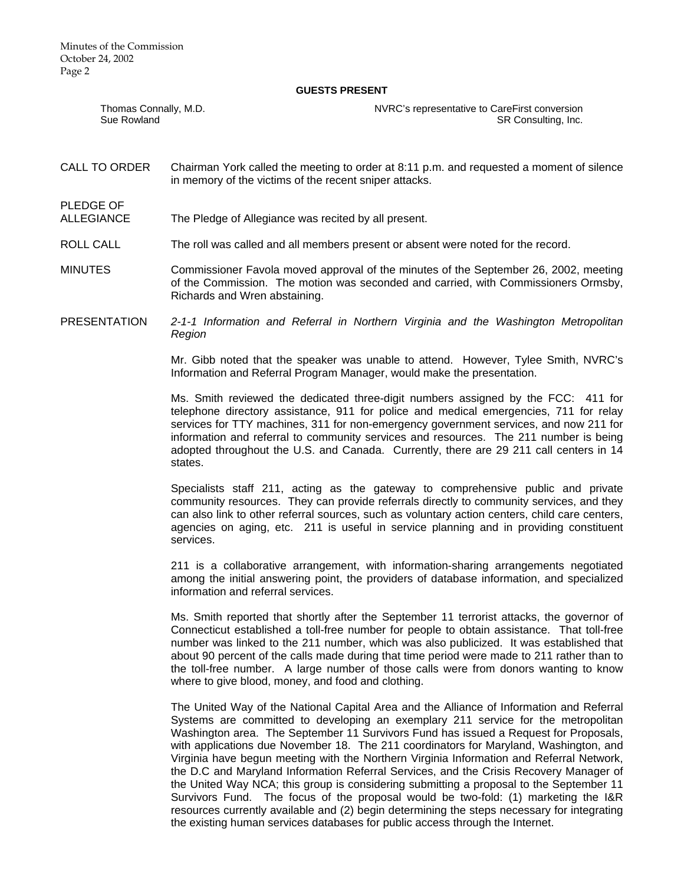Minutes of the Commission October 24, 2002 Page 2

PLEDGE OF

#### **GUESTS PRESENT**

| Thomas Connally, M.D. | NVRC's representative to CareFirst conversion |
|-----------------------|-----------------------------------------------|
| Sue Rowland           | SR Consulting, Inc.                           |

- CALL TO ORDER Chairman York called the meeting to order at 8:11 p.m. and requested a moment of silence in memory of the victims of the recent sniper attacks.
- ALLEGIANCE The Pledge of Allegiance was recited by all present.
- ROLL CALL The roll was called and all members present or absent were noted for the record.
- MINUTES Commissioner Favola moved approval of the minutes of the September 26, 2002, meeting of the Commission. The motion was seconded and carried, with Commissioners Ormsby, Richards and Wren abstaining.
- PRESENTATION *2-1-1 Information and Referral in Northern Virginia and the Washington Metropolitan Region*

Mr. Gibb noted that the speaker was unable to attend. However, Tylee Smith, NVRC's Information and Referral Program Manager, would make the presentation.

Ms. Smith reviewed the dedicated three-digit numbers assigned by the FCC: 411 for telephone directory assistance, 911 for police and medical emergencies, 711 for relay services for TTY machines, 311 for non-emergency government services, and now 211 for information and referral to community services and resources. The 211 number is being adopted throughout the U.S. and Canada. Currently, there are 29 211 call centers in 14 states.

Specialists staff 211, acting as the gateway to comprehensive public and private community resources. They can provide referrals directly to community services, and they can also link to other referral sources, such as voluntary action centers, child care centers, agencies on aging, etc. 211 is useful in service planning and in providing constituent services.

211 is a collaborative arrangement, with information-sharing arrangements negotiated among the initial answering point, the providers of database information, and specialized information and referral services.

Ms. Smith reported that shortly after the September 11 terrorist attacks, the governor of Connecticut established a toll-free number for people to obtain assistance. That toll-free number was linked to the 211 number, which was also publicized. It was established that about 90 percent of the calls made during that time period were made to 211 rather than to the toll-free number. A large number of those calls were from donors wanting to know where to give blood, money, and food and clothing.

The United Way of the National Capital Area and the Alliance of Information and Referral Systems are committed to developing an exemplary 211 service for the metropolitan Washington area. The September 11 Survivors Fund has issued a Request for Proposals, with applications due November 18. The 211 coordinators for Maryland, Washington, and Virginia have begun meeting with the Northern Virginia Information and Referral Network, the D.C and Maryland Information Referral Services, and the Crisis Recovery Manager of the United Way NCA; this group is considering submitting a proposal to the September 11 Survivors Fund. The focus of the proposal would be two-fold: (1) marketing the I&R resources currently available and (2) begin determining the steps necessary for integrating the existing human services databases for public access through the Internet.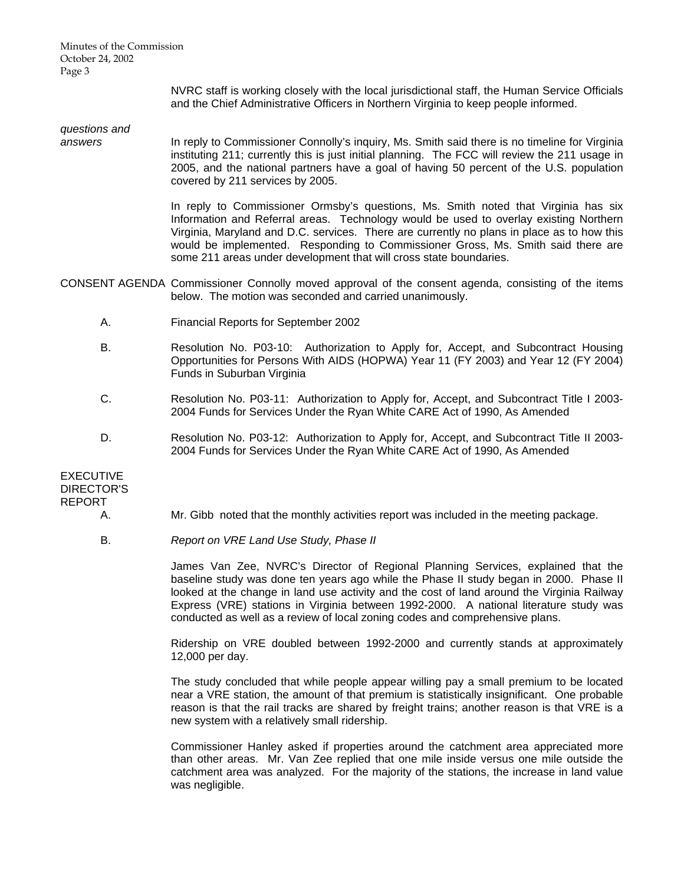Minutes of the Commission October 24, 2002 Page 3

> NVRC staff is working closely with the local jurisdictional staff, the Human Service Officials and the Chief Administrative Officers in Northern Virginia to keep people informed.

*questions and* 

*answers* In reply to Commissioner Connolly's inquiry, Ms. Smith said there is no timeline for Virginia instituting 211; currently this is just initial planning. The FCC will review the 211 usage in 2005, and the national partners have a goal of having 50 percent of the U.S. population covered by 211 services by 2005.

> In reply to Commissioner Ormsby's questions, Ms. Smith noted that Virginia has six Information and Referral areas. Technology would be used to overlay existing Northern Virginia, Maryland and D.C. services. There are currently no plans in place as to how this would be implemented. Responding to Commissioner Gross, Ms. Smith said there are some 211 areas under development that will cross state boundaries.

- CONSENT AGENDA Commissioner Connolly moved approval of the consent agenda, consisting of the items below. The motion was seconded and carried unanimously.
	- A. Financial Reports for September 2002
	- B. Resolution No. P03-10: Authorization to Apply for, Accept, and Subcontract Housing Opportunities for Persons With AIDS (HOPWA) Year 11 (FY 2003) and Year 12 (FY 2004) Funds in Suburban Virginia
	- C. Resolution No. P03-11: Authorization to Apply for, Accept, and Subcontract Title I 2003- 2004 Funds for Services Under the Ryan White CARE Act of 1990, As Amended
	- D. Resolution No. P03-12: Authorization to Apply for, Accept, and Subcontract Title II 2003- 2004 Funds for Services Under the Ryan White CARE Act of 1990, As Amended

EXECUTIVE DIRECTOR'S REPORT

- A. Mr. Gibb noted that the monthly activities report was included in the meeting package.
- B. *Report on VRE Land Use Study, Phase II*

 James Van Zee, NVRC's Director of Regional Planning Services, explained that the baseline study was done ten years ago while the Phase II study began in 2000. Phase II looked at the change in land use activity and the cost of land around the Virginia Railway Express (VRE) stations in Virginia between 1992-2000. A national literature study was conducted as well as a review of local zoning codes and comprehensive plans.

 Ridership on VRE doubled between 1992-2000 and currently stands at approximately 12,000 per day.

 The study concluded that while people appear willing pay a small premium to be located near a VRE station, the amount of that premium is statistically insignificant. One probable reason is that the rail tracks are shared by freight trains; another reason is that VRE is a new system with a relatively small ridership.

 Commissioner Hanley asked if properties around the catchment area appreciated more than other areas. Mr. Van Zee replied that one mile inside versus one mile outside the catchment area was analyzed. For the majority of the stations, the increase in land value was negligible.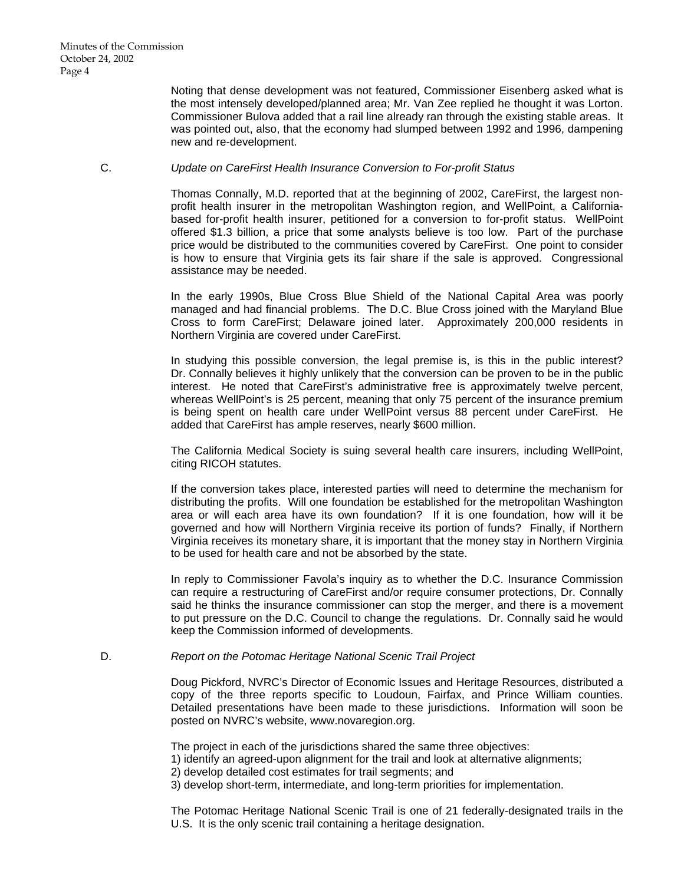Noting that dense development was not featured, Commissioner Eisenberg asked what is the most intensely developed/planned area; Mr. Van Zee replied he thought it was Lorton. Commissioner Bulova added that a rail line already ran through the existing stable areas. It was pointed out, also, that the economy had slumped between 1992 and 1996, dampening new and re-development.

## C. *Update on CareFirst Health Insurance Conversion to For-profit Status*

 Thomas Connally, M.D. reported that at the beginning of 2002, CareFirst, the largest nonprofit health insurer in the metropolitan Washington region, and WellPoint, a Californiabased for-profit health insurer, petitioned for a conversion to for-profit status. WellPoint offered \$1.3 billion, a price that some analysts believe is too low. Part of the purchase price would be distributed to the communities covered by CareFirst. One point to consider is how to ensure that Virginia gets its fair share if the sale is approved. Congressional assistance may be needed.

 In the early 1990s, Blue Cross Blue Shield of the National Capital Area was poorly managed and had financial problems. The D.C. Blue Cross joined with the Maryland Blue Cross to form CareFirst; Delaware joined later. Approximately 200,000 residents in Northern Virginia are covered under CareFirst.

 In studying this possible conversion, the legal premise is, is this in the public interest? Dr. Connally believes it highly unlikely that the conversion can be proven to be in the public interest. He noted that CareFirst's administrative free is approximately twelve percent, whereas WellPoint's is 25 percent, meaning that only 75 percent of the insurance premium is being spent on health care under WellPoint versus 88 percent under CareFirst. He added that CareFirst has ample reserves, nearly \$600 million.

 The California Medical Society is suing several health care insurers, including WellPoint, citing RICOH statutes.

 If the conversion takes place, interested parties will need to determine the mechanism for distributing the profits. Will one foundation be established for the metropolitan Washington area or will each area have its own foundation? If it is one foundation, how will it be governed and how will Northern Virginia receive its portion of funds? Finally, if Northern Virginia receives its monetary share, it is important that the money stay in Northern Virginia to be used for health care and not be absorbed by the state.

 In reply to Commissioner Favola's inquiry as to whether the D.C. Insurance Commission can require a restructuring of CareFirst and/or require consumer protections, Dr. Connally said he thinks the insurance commissioner can stop the merger, and there is a movement to put pressure on the D.C. Council to change the regulations. Dr. Connally said he would keep the Commission informed of developments.

# D. *Report on the Potomac Heritage National Scenic Trail Project*

 Doug Pickford, NVRC's Director of Economic Issues and Heritage Resources, distributed a copy of the three reports specific to Loudoun, Fairfax, and Prince William counties. Detailed presentations have been made to these jurisdictions. Information will soon be posted on NVRC's website, www.novaregion.org.

The project in each of the jurisdictions shared the same three objectives:

1) identify an agreed-upon alignment for the trail and look at alternative alignments;

2) develop detailed cost estimates for trail segments; and

3) develop short-term, intermediate, and long-term priorities for implementation.

 The Potomac Heritage National Scenic Trail is one of 21 federally-designated trails in the U.S. It is the only scenic trail containing a heritage designation.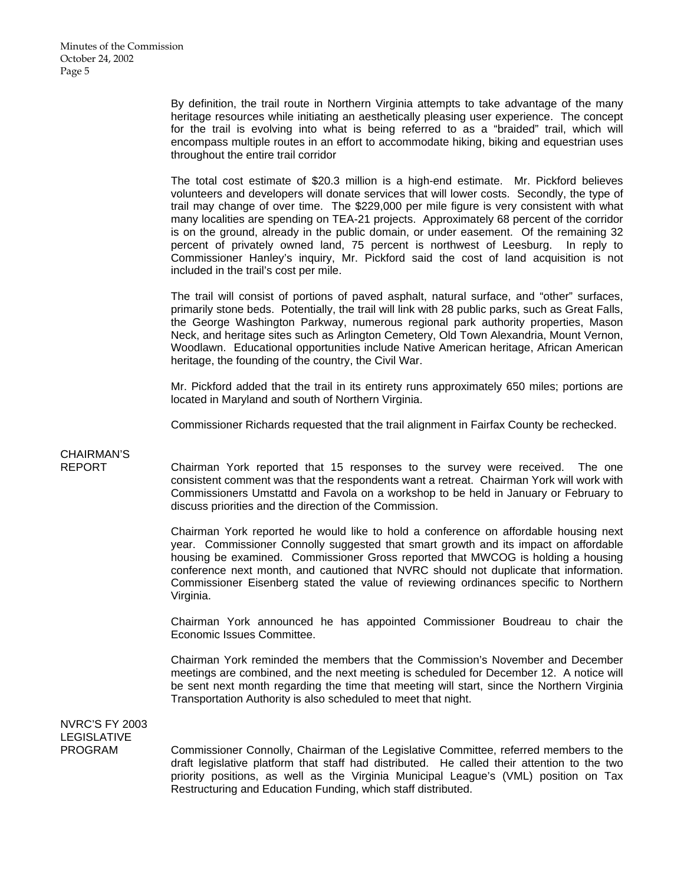By definition, the trail route in Northern Virginia attempts to take advantage of the many heritage resources while initiating an aesthetically pleasing user experience. The concept for the trail is evolving into what is being referred to as a "braided" trail, which will encompass multiple routes in an effort to accommodate hiking, biking and equestrian uses throughout the entire trail corridor

 The total cost estimate of \$20.3 million is a high-end estimate. Mr. Pickford believes volunteers and developers will donate services that will lower costs. Secondly, the type of trail may change of over time. The \$229,000 per mile figure is very consistent with what many localities are spending on TEA-21 projects. Approximately 68 percent of the corridor is on the ground, already in the public domain, or under easement. Of the remaining 32 percent of privately owned land, 75 percent is northwest of Leesburg. In reply to Commissioner Hanley's inquiry, Mr. Pickford said the cost of land acquisition is not included in the trail's cost per mile.

 The trail will consist of portions of paved asphalt, natural surface, and "other" surfaces, primarily stone beds. Potentially, the trail will link with 28 public parks, such as Great Falls, the George Washington Parkway, numerous regional park authority properties, Mason Neck, and heritage sites such as Arlington Cemetery, Old Town Alexandria, Mount Vernon, Woodlawn. Educational opportunities include Native American heritage, African American heritage, the founding of the country, the Civil War.

 Mr. Pickford added that the trail in its entirety runs approximately 650 miles; portions are located in Maryland and south of Northern Virginia.

Commissioner Richards requested that the trail alignment in Fairfax County be rechecked.

# CHAIRMAN'S<br>REPORT

Chairman York reported that 15 responses to the survey were received. The one consistent comment was that the respondents want a retreat. Chairman York will work with Commissioners Umstattd and Favola on a workshop to be held in January or February to discuss priorities and the direction of the Commission.

 Chairman York reported he would like to hold a conference on affordable housing next year. Commissioner Connolly suggested that smart growth and its impact on affordable housing be examined. Commissioner Gross reported that MWCOG is holding a housing conference next month, and cautioned that NVRC should not duplicate that information. Commissioner Eisenberg stated the value of reviewing ordinances specific to Northern Virginia.

 Chairman York announced he has appointed Commissioner Boudreau to chair the Economic Issues Committee.

 Chairman York reminded the members that the Commission's November and December meetings are combined, and the next meeting is scheduled for December 12. A notice will be sent next month regarding the time that meeting will start, since the Northern Virginia Transportation Authority is also scheduled to meet that night.

NVRC'S FY 2003 LEGISLATIVE

PROGRAM Commissioner Connolly, Chairman of the Legislative Committee, referred members to the draft legislative platform that staff had distributed. He called their attention to the two priority positions, as well as the Virginia Municipal League's (VML) position on Tax Restructuring and Education Funding, which staff distributed.